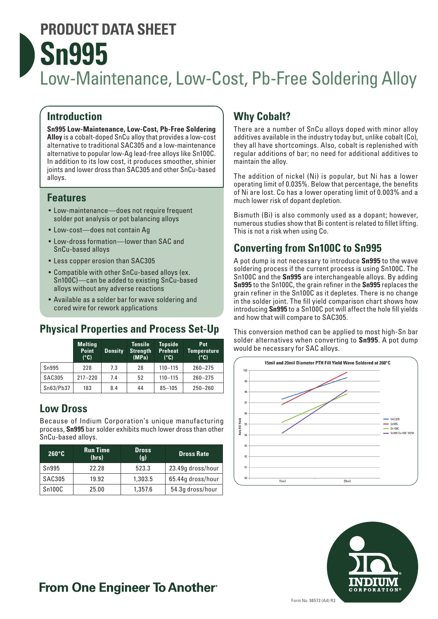

### **Introduction**

**Sn995 Low-Maintenance, Low-Cost, Pb-Free Soldering Alloy** is a cobalt-doped SnCu alloy that provides a low-cost alternative to traditional SAC305 and a low-maintenance alternative to popular low-Ag lead-free alloys like Sn100C. In addition to its low cost, it produces smoother, shinier joints and lower dross than SAC305 and other SnCu-based alloys.

### **Features**

- Low-maintenance—does not require frequent solder pot analysis or pot balancing alloys
- Low-cost—does not contain Ag
- Low-dross formation—lower than SAC and SnCu-based alloys
- Less copper erosion than SAC305
- Compatible with other SnCu-based alloys (ex. Sn100C)—can be added to existing SnCu-based alloys without any adverse reactions
- Available as a solder bar for wave soldering and cored wire for rework applications

### **Physical Properties and Process Set-Up**

|               | <b>Melting</b><br><b>Point</b><br>$(^\circ \mathbb{C})$ | <b>Density</b> | Tensile<br><b>Strength</b><br>(MPa) | <b>Topside</b><br><b>Preheat</b><br>$(^\circ \mathbb{C})$ | Pot<br><b>Temperature</b><br>(°C) |
|---------------|---------------------------------------------------------|----------------|-------------------------------------|-----------------------------------------------------------|-----------------------------------|
| Sn995         | 228                                                     | 7.3            | 28                                  | $110 - 115$                                               | $260 - 275$                       |
| <b>SAC305</b> | $217 - 220$                                             | 7.4            | 52                                  | $110 - 115$                                               | $260 - 275$                       |
| Sn63/Pb37     | 183                                                     | 8.4            | 44                                  | $85 - 105$                                                | $250 - 260$                       |

### **Low Dross**

Because of Indium Corporation's unique manufacturing process, **Sn995** bar solder exhibits much lower dross than other SnCu-based alloys.

| $260^\circ C$ | <b>Run Time</b><br>(hrs) | <b>Dross</b><br>(q) | <b>Dross Rate</b> |
|---------------|--------------------------|---------------------|-------------------|
| Sn995         | 22.28                    | 523.3               | 23.49g dross/hour |
| <b>SAC305</b> | 19.92                    | 1,303.5             | 65.44g dross/hour |
| Sn100C        | 25.00                    | 1,357.6             | 54.3g dross/hour  |

## **Why Cobalt?**

There are a number of SnCu alloys doped with minor alloy additives available in the industry today but, unlike cobalt (Co), they all have shortcomings. Also, cobalt is replenished with regular additions of bar; no need for additional additives to maintain the alloy.

The addition of nickel (Ni) is popular, but Ni has a lower operating limit of 0.035%. Below that percentage, the benefits of Ni are lost. Co has a lower operating limit of 0.003% and a much lower risk of dopant depletion.

Bismuth (Bi) is also commonly used as a dopant; however, numerous studies show that Bi content is related to fillet lifting. This is not a risk when using Co.

### **Converting from Sn100C to Sn995**

A pot dump is not necessary to introduce **Sn995** to the wave soldering process if the current process is using Sn100C. The Sn100C and the **Sn995** are interchangeable alloys. By adding **Sn995** to the Sn100C, the grain refiner in the **Sn995** replaces the grain refiner in the Sn100C as it depletes. There is no change in the solder joint. The fill yield comparison chart shows how introducing **Sn995** to a Sn100C pot will affect the hole fill yields and how that will compare to SAC305.

This conversion method can be applied to most high-Sn bar solder alternatives when converting to **Sn995**. A pot dump would be necessary for SAC alloys.





# **From One Engineer To Another**®